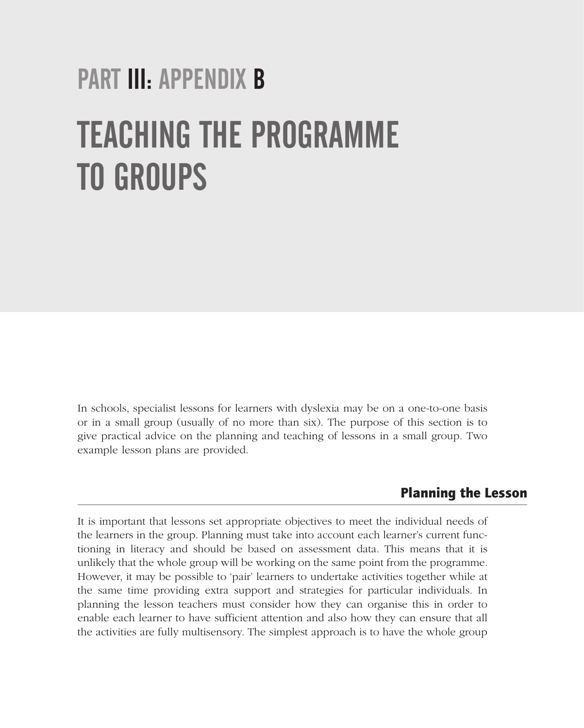# PART III: APPENDIX B TEACHING THE PROGRAMME TO GROUPS

In schools, specialist lessons for learners with dyslexia may be on a one-to-one basis or in a small group (usually of no more than six). The purpose of this section is to give practical advice on the planning and teaching of lessons in a small group. Two example lesson plans are provided.

#### Planning the Lesson

It is important that lessons set appropriate objectives to meet the individual needs of the learners in the group. Planning must take into account each learner's current functioning in literacy and should be based on assessment data. This means that it is unlikely that the whole group will be working on the same point from the programme. However, it may be possible to 'pair' learners to undertake activities together while at the same time providing extra support and strategies for particular individuals. In planning the lesson teachers must consider how they can organise this in order to enable each learner to have sufficient attention and also how they can ensure that all the activities are fully multisensory. The simplest approach is to have the whole group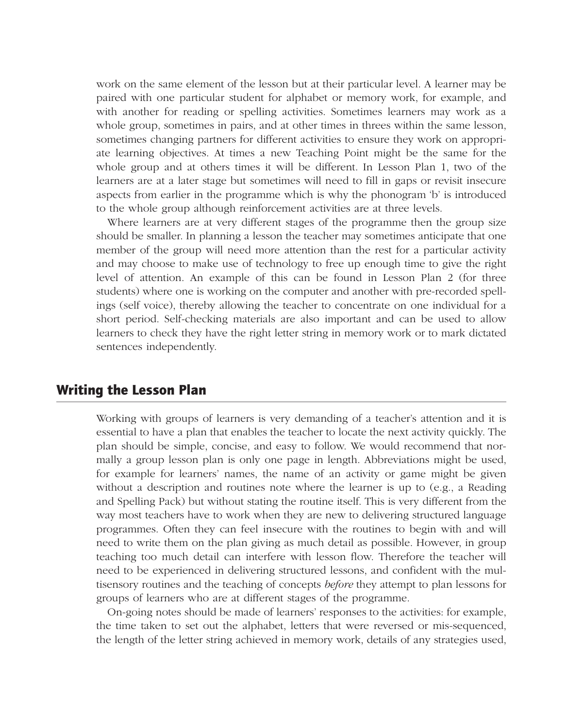work on the same element of the lesson but at their particular level. A learner may be paired with one particular student for alphabet or memory work, for example, and with another for reading or spelling activities. Sometimes learners may work as a whole group, sometimes in pairs, and at other times in threes within the same lesson, sometimes changing partners for different activities to ensure they work on appropriate learning objectives. At times a new Teaching Point might be the same for the whole group and at others times it will be different. In Lesson Plan 1, two of the learners are at a later stage but sometimes will need to fill in gaps or revisit insecure aspects from earlier in the programme which is why the phonogram 'b' is introduced to the whole group although reinforcement activities are at three levels.

Where learners are at very different stages of the programme then the group size should be smaller. In planning a lesson the teacher may sometimes anticipate that one member of the group will need more attention than the rest for a particular activity and may choose to make use of technology to free up enough time to give the right level of attention. An example of this can be found in Lesson Plan 2 (for three students) where one is working on the computer and another with pre-recorded spellings (self voice), thereby allowing the teacher to concentrate on one individual for a short period. Self-checking materials are also important and can be used to allow learners to check they have the right letter string in memory work or to mark dictated sentences independently.

#### Writing the Lesson Plan

Working with groups of learners is very demanding of a teacher's attention and it is essential to have a plan that enables the teacher to locate the next activity quickly. The plan should be simple, concise, and easy to follow. We would recommend that normally a group lesson plan is only one page in length. Abbreviations might be used, for example for learners' names, the name of an activity or game might be given without a description and routines note where the learner is up to (e.g., a Reading and Spelling Pack) but without stating the routine itself. This is very different from the way most teachers have to work when they are new to delivering structured language programmes. Often they can feel insecure with the routines to begin with and will need to write them on the plan giving as much detail as possible. However, in group teaching too much detail can interfere with lesson flow. Therefore the teacher will need to be experienced in delivering structured lessons, and confident with the multisensory routines and the teaching of concepts *before* they attempt to plan lessons for groups of learners who are at different stages of the programme.

On-going notes should be made of learners' responses to the activities: for example, the time taken to set out the alphabet, letters that were reversed or mis-sequenced, the length of the letter string achieved in memory work, details of any strategies used,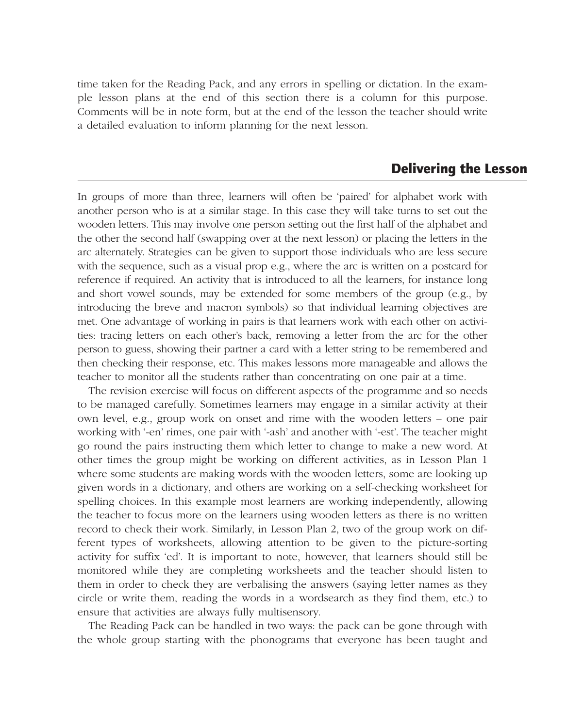time taken for the Reading Pack, and any errors in spelling or dictation. In the example lesson plans at the end of this section there is a column for this purpose. Comments will be in note form, but at the end of the lesson the teacher should write a detailed evaluation to inform planning for the next lesson.

#### Delivering the Lesson

In groups of more than three, learners will often be 'paired' for alphabet work with another person who is at a similar stage. In this case they will take turns to set out the wooden letters. This may involve one person setting out the first half of the alphabet and the other the second half (swapping over at the next lesson) or placing the letters in the arc alternately. Strategies can be given to support those individuals who are less secure with the sequence, such as a visual prop e.g., where the arc is written on a postcard for reference if required. An activity that is introduced to all the learners, for instance long and short vowel sounds, may be extended for some members of the group (e.g., by introducing the breve and macron symbols) so that individual learning objectives are met. One advantage of working in pairs is that learners work with each other on activities: tracing letters on each other's back, removing a letter from the arc for the other person to guess, showing their partner a card with a letter string to be remembered and then checking their response, etc. This makes lessons more manageable and allows the teacher to monitor all the students rather than concentrating on one pair at a time.

The revision exercise will focus on different aspects of the programme and so needs to be managed carefully. Sometimes learners may engage in a similar activity at their own level, e.g., group work on onset and rime with the wooden letters – one pair working with '-en' rimes, one pair with '-ash' and another with '-est'. The teacher might go round the pairs instructing them which letter to change to make a new word. At other times the group might be working on different activities, as in Lesson Plan 1 where some students are making words with the wooden letters, some are looking up given words in a dictionary, and others are working on a self-checking worksheet for spelling choices. In this example most learners are working independently, allowing the teacher to focus more on the learners using wooden letters as there is no written record to check their work. Similarly, in Lesson Plan 2, two of the group work on different types of worksheets, allowing attention to be given to the picture-sorting activity for suffix 'ed'. It is important to note, however, that learners should still be monitored while they are completing worksheets and the teacher should listen to them in order to check they are verbalising the answers (saying letter names as they circle or write them, reading the words in a wordsearch as they find them, etc.) to ensure that activities are always fully multisensory.

The Reading Pack can be handled in two ways: the pack can be gone through with the whole group starting with the phonograms that everyone has been taught and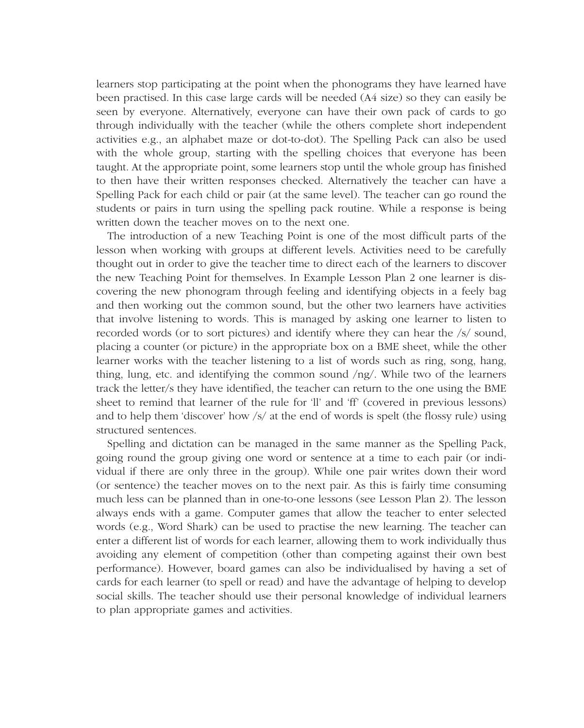learners stop participating at the point when the phonograms they have learned have been practised. In this case large cards will be needed (A4 size) so they can easily be seen by everyone. Alternatively, everyone can have their own pack of cards to go through individually with the teacher (while the others complete short independent activities e.g., an alphabet maze or dot-to-dot). The Spelling Pack can also be used with the whole group, starting with the spelling choices that everyone has been taught. At the appropriate point, some learners stop until the whole group has finished to then have their written responses checked. Alternatively the teacher can have a Spelling Pack for each child or pair (at the same level). The teacher can go round the students or pairs in turn using the spelling pack routine. While a response is being written down the teacher moves on to the next one.

The introduction of a new Teaching Point is one of the most difficult parts of the lesson when working with groups at different levels. Activities need to be carefully thought out in order to give the teacher time to direct each of the learners to discover the new Teaching Point for themselves. In Example Lesson Plan 2 one learner is discovering the new phonogram through feeling and identifying objects in a feely bag and then working out the common sound, but the other two learners have activities that involve listening to words. This is managed by asking one learner to listen to recorded words (or to sort pictures) and identify where they can hear the /s/ sound, placing a counter (or picture) in the appropriate box on a BME sheet, while the other learner works with the teacher listening to a list of words such as ring, song, hang, thing, lung, etc. and identifying the common sound  $\log$ . While two of the learners track the letter/s they have identified, the teacher can return to the one using the BME sheet to remind that learner of the rule for 'll' and 'ff' (covered in previous lessons) and to help them 'discover' how /s/ at the end of words is spelt (the flossy rule) using structured sentences.

Spelling and dictation can be managed in the same manner as the Spelling Pack, going round the group giving one word or sentence at a time to each pair (or individual if there are only three in the group). While one pair writes down their word (or sentence) the teacher moves on to the next pair. As this is fairly time consuming much less can be planned than in one-to-one lessons (see Lesson Plan 2). The lesson always ends with a game. Computer games that allow the teacher to enter selected words (e.g., Word Shark) can be used to practise the new learning. The teacher can enter a different list of words for each learner, allowing them to work individually thus avoiding any element of competition (other than competing against their own best performance). However, board games can also be individualised by having a set of cards for each learner (to spell or read) and have the advantage of helping to develop social skills. The teacher should use their personal knowledge of individual learners to plan appropriate games and activities.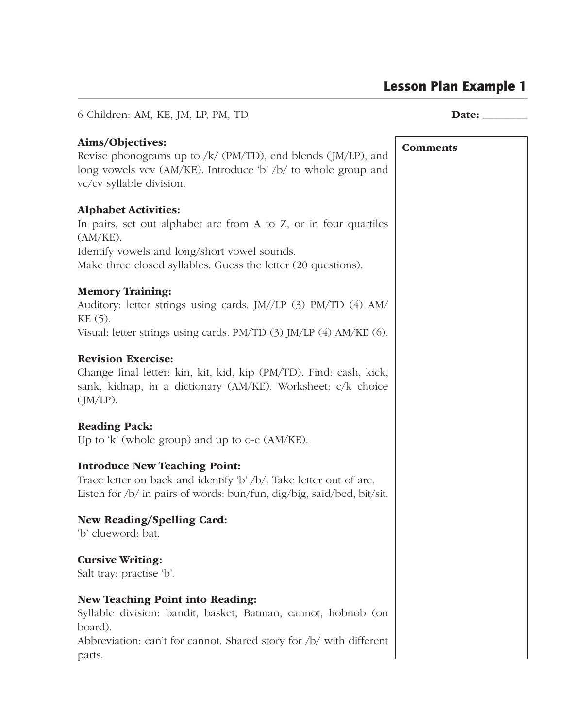### Lesson Plan Example 1

6 Children: AM, KE, JM, LP, PM, TD **Date:** Date: Aims/Objectives: Revise phonograms up to  $/k/$  (PM/TD), end blends (JM/LP), and long vowels vcv (AM/KE). Introduce 'b' /b/ to whole group and vc/cv syllable division. Alphabet Activities: In pairs, set out alphabet arc from A to Z, or in four quartiles (AM/KE). Identify vowels and long/short vowel sounds. Make three closed syllables. Guess the letter (20 questions). Memory Training: Auditory: letter strings using cards. JM//LP (3) PM/TD (4) AM/ KE (5). Visual: letter strings using cards. PM/TD (3) JM/LP (4) AM/KE (6). Revision Exercise: Change final letter: kin, kit, kid, kip (PM/TD). Find: cash, kick, sank, kidnap, in a dictionary (AM/KE). Worksheet: c/k choice  $(M/LP)$ . Reading Pack: Up to 'k' (whole group) and up to o-e (AM/KE). Introduce New Teaching Point: Trace letter on back and identify 'b' /b/. Take letter out of arc. Listen for /b/ in pairs of words: bun/fun, dig/big, said/bed, bit/sit. New Reading/Spelling Card: 'b' clueword: bat. Cursive Writing: Salt tray: practise 'b'. New Teaching Point into Reading: Syllable division: bandit, basket, Batman, cannot, hobnob (on board). Abbreviation: can't for cannot. Shared story for /b/ with different parts. Comments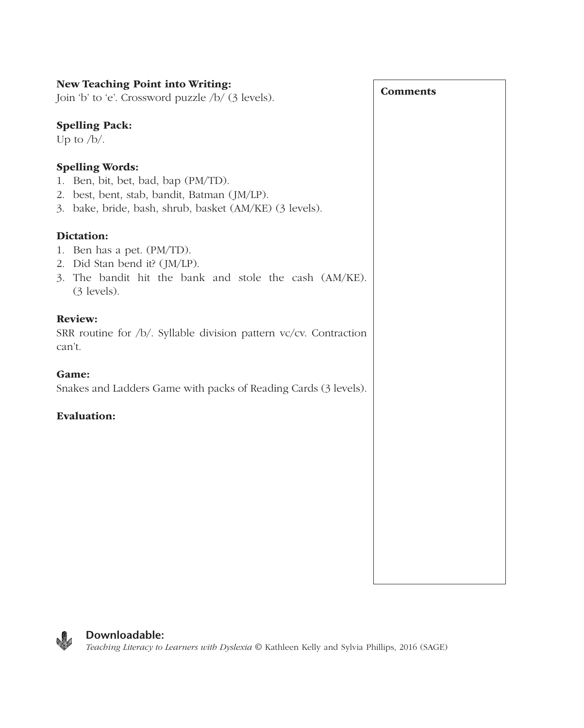| New Teaching Point into Writing:                                                                                                                                         |                 |
|--------------------------------------------------------------------------------------------------------------------------------------------------------------------------|-----------------|
| Join 'b' to 'e'. Crossword puzzle /b/ (3 levels).                                                                                                                        | <b>Comments</b> |
| <b>Spelling Pack:</b><br>Up to $/b/$ .                                                                                                                                   |                 |
| <b>Spelling Words:</b><br>1. Ben, bit, bet, bad, bap (PM/TD).<br>2. best, bent, stab, bandit, Batman (JM/LP).<br>3. bake, bride, bash, shrub, basket (AM/KE) (3 levels). |                 |
| Dictation:                                                                                                                                                               |                 |
| 1. Ben has a pet. (PM/TD).<br>2. Did Stan bend it? (JM/LP).<br>3. The bandit hit the bank and stole the cash (AM/KE).<br>(3 levels).                                     |                 |
| <b>Review:</b><br>SRR routine for /b/. Syllable division pattern vc/cv. Contraction<br>can't.                                                                            |                 |
| Game:<br>Snakes and Ladders Game with packs of Reading Cards (3 levels).                                                                                                 |                 |
| <b>Evaluation:</b>                                                                                                                                                       |                 |
|                                                                                                                                                                          |                 |
|                                                                                                                                                                          |                 |
|                                                                                                                                                                          |                 |
|                                                                                                                                                                          |                 |
|                                                                                                                                                                          |                 |



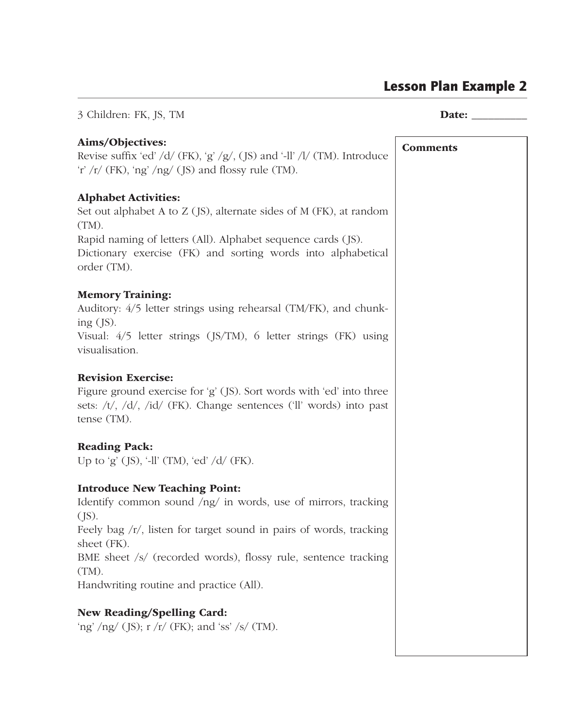## Lesson Plan Example 2

| 3 Children: FK, JS, TM                                                                                                                                                                                                                                                                                                    |                 |
|---------------------------------------------------------------------------------------------------------------------------------------------------------------------------------------------------------------------------------------------------------------------------------------------------------------------------|-----------------|
| Aims/Objectives:<br>Revise suffix 'ed' /d/ (FK), 'g' /g/, (JS) and '-ll' /l/ (TM). Introduce<br>'r' /r/ (FK), 'ng' /ng/ (JS) and flossy rule (TM).                                                                                                                                                                        | <b>Comments</b> |
| <b>Alphabet Activities:</b><br>Set out alphabet A to Z (JS), alternate sides of M (FK), at random<br>(TM).<br>Rapid naming of letters (All). Alphabet sequence cards (JS).<br>Dictionary exercise (FK) and sorting words into alphabetical<br>order (TM).                                                                 |                 |
| <b>Memory Training:</b><br>Auditory: 4/5 letter strings using rehearsal (TM/FK), and chunk-<br>ing $(JS)$ .<br>Visual: 4/5 letter strings (JS/TM), 6 letter strings (FK) using<br>visualisation.                                                                                                                          |                 |
| <b>Revision Exercise:</b><br>Figure ground exercise for 'g' (JS). Sort words with 'ed' into three<br>sets: /t/, /d/, /id/ (FK). Change sentences ('ll' words) into past<br>tense (TM).                                                                                                                                    |                 |
| <b>Reading Pack:</b><br>Up to 'g' (JS), '-ll' (TM), 'ed' /d/ (FK).                                                                                                                                                                                                                                                        |                 |
| <b>Introduce New Teaching Point:</b><br>Identify common sound /ng/ in words, use of mirrors, tracking<br>(JS).<br>Feely bag /r/, listen for target sound in pairs of words, tracking<br>sheet (FK).<br>BME sheet /s/ (recorded words), flossy rule, sentence tracking<br>(TM).<br>Handwriting routine and practice (All). |                 |
| New Reading/Spelling Card:<br>'ng' /ng/ (JS); $r / r /$ (FK); and 'ss' /s/ (TM).                                                                                                                                                                                                                                          |                 |